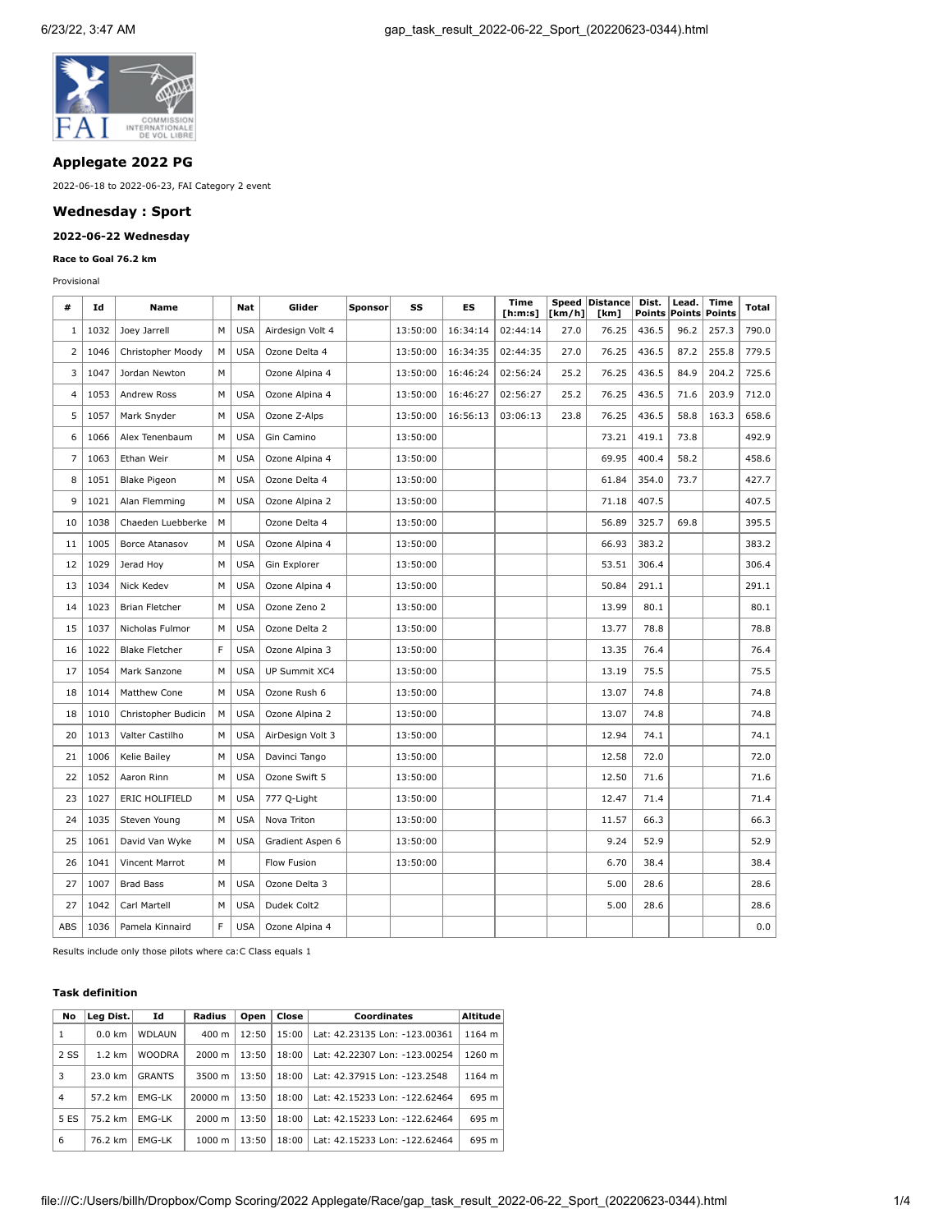

# **Applegate 2022 PG**

2022-06-18 to 2022-06-23, FAI Category 2 event

## **Wednesday : Sport**

# **2022-06-22 Wednesday**

#### **Race to Goal 76.2 km**

Provisional

| #   | Id   | Name                  |   | Nat        | Glider           | Sponsor | SS       | ES       | Time<br>[ <b>h</b> : <b>m</b> : <b>s</b> ] | [km/h] | Speed Distance<br>[km] | Dist.<br>Points | Lead.<br><b>Points</b> | Time<br>Points | Total |
|-----|------|-----------------------|---|------------|------------------|---------|----------|----------|--------------------------------------------|--------|------------------------|-----------------|------------------------|----------------|-------|
| 1   | 1032 | Joey Jarrell          | M | <b>USA</b> | Airdesign Volt 4 |         | 13:50:00 | 16:34:14 | 02:44:14                                   | 27.0   | 76.25                  | 436.5           | 96.2                   | 257.3          | 790.0 |
| 2   | 1046 | Christopher Moody     | М | <b>USA</b> | Ozone Delta 4    |         | 13:50:00 | 16:34:35 | 02:44:35                                   | 27.0   | 76.25                  | 436.5           | 87.2                   | 255.8          | 779.5 |
| 3   | 1047 | Jordan Newton         | M |            | Ozone Alpina 4   |         | 13:50:00 | 16:46:24 | 02:56:24                                   | 25.2   | 76.25                  | 436.5           | 84.9                   | 204.2          | 725.6 |
| 4   | 1053 | <b>Andrew Ross</b>    | M | <b>USA</b> | Ozone Alpina 4   |         | 13:50:00 | 16:46:27 | 02:56:27                                   | 25.2   | 76.25                  | 436.5           | 71.6                   | 203.9          | 712.0 |
| 5   | 1057 | Mark Snyder           | М | <b>USA</b> | Ozone Z-Alps     |         | 13:50:00 | 16:56:13 | 03:06:13                                   | 23.8   | 76.25                  | 436.5           | 58.8                   | 163.3          | 658.6 |
| 6   | 1066 | Alex Tenenbaum        | M | <b>USA</b> | Gin Camino       |         | 13:50:00 |          |                                            |        | 73.21                  | 419.1           | 73.8                   |                | 492.9 |
| 7   | 1063 | Ethan Weir            | М | <b>USA</b> | Ozone Alpina 4   |         | 13:50:00 |          |                                            |        | 69.95                  | 400.4           | 58.2                   |                | 458.6 |
| 8   | 1051 | <b>Blake Pigeon</b>   | M | <b>USA</b> | Ozone Delta 4    |         | 13:50:00 |          |                                            |        | 61.84                  | 354.0           | 73.7                   |                | 427.7 |
| 9   | 1021 | Alan Flemming         | М | <b>USA</b> | Ozone Alpina 2   |         | 13:50:00 |          |                                            |        | 71.18                  | 407.5           |                        |                | 407.5 |
| 10  | 1038 | Chaeden Luebberke     | M |            | Ozone Delta 4    |         | 13:50:00 |          |                                            |        | 56.89                  | 325.7           | 69.8                   |                | 395.5 |
| 11  | 1005 | <b>Borce Atanasov</b> | М | <b>USA</b> | Ozone Alpina 4   |         | 13:50:00 |          |                                            |        | 66.93                  | 383.2           |                        |                | 383.2 |
| 12  | 1029 | Jerad Hoy             | М | <b>USA</b> | Gin Explorer     |         | 13:50:00 |          |                                            |        | 53.51                  | 306.4           |                        |                | 306.4 |
| 13  | 1034 | Nick Kedev            | M | <b>USA</b> | Ozone Alpina 4   |         | 13:50:00 |          |                                            |        | 50.84                  | 291.1           |                        |                | 291.1 |
| 14  | 1023 | <b>Brian Fletcher</b> | M | <b>USA</b> | Ozone Zeno 2     |         | 13:50:00 |          |                                            |        | 13.99                  | 80.1            |                        |                | 80.1  |
| 15  | 1037 | Nicholas Fulmor       | М | <b>USA</b> | Ozone Delta 2    |         | 13:50:00 |          |                                            |        | 13.77                  | 78.8            |                        |                | 78.8  |
| 16  | 1022 | <b>Blake Fletcher</b> | F | <b>USA</b> | Ozone Alpina 3   |         | 13:50:00 |          |                                            |        | 13.35                  | 76.4            |                        |                | 76.4  |
| 17  | 1054 | Mark Sanzone          | М | <b>USA</b> | UP Summit XC4    |         | 13:50:00 |          |                                            |        | 13.19                  | 75.5            |                        |                | 75.5  |
| 18  | 1014 | Matthew Cone          | M | <b>USA</b> | Ozone Rush 6     |         | 13:50:00 |          |                                            |        | 13.07                  | 74.8            |                        |                | 74.8  |
| 18  | 1010 | Christopher Budicin   | М | <b>USA</b> | Ozone Alpina 2   |         | 13:50:00 |          |                                            |        | 13.07                  | 74.8            |                        |                | 74.8  |
| 20  | 1013 | Valter Castilho       | M | <b>USA</b> | AirDesign Volt 3 |         | 13:50:00 |          |                                            |        | 12.94                  | 74.1            |                        |                | 74.1  |
| 21  | 1006 | Kelie Bailey          | М | <b>USA</b> | Davinci Tango    |         | 13:50:00 |          |                                            |        | 12.58                  | 72.0            |                        |                | 72.0  |
| 22  | 1052 | Aaron Rinn            | M | <b>USA</b> | Ozone Swift 5    |         | 13:50:00 |          |                                            |        | 12.50                  | 71.6            |                        |                | 71.6  |
| 23  | 1027 | ERIC HOLIFIELD        | М | <b>USA</b> | 777 Q-Light      |         | 13:50:00 |          |                                            |        | 12.47                  | 71.4            |                        |                | 71.4  |
| 24  | 1035 | Steven Young          | M | <b>USA</b> | Nova Triton      |         | 13:50:00 |          |                                            |        | 11.57                  | 66.3            |                        |                | 66.3  |
| 25  | 1061 | David Van Wyke        | М | <b>USA</b> | Gradient Aspen 6 |         | 13:50:00 |          |                                            |        | 9.24                   | 52.9            |                        |                | 52.9  |
| 26  | 1041 | Vincent Marrot        | M |            | Flow Fusion      |         | 13:50:00 |          |                                            |        | 6.70                   | 38.4            |                        |                | 38.4  |
| 27  | 1007 | <b>Brad Bass</b>      | М | <b>USA</b> | Ozone Delta 3    |         |          |          |                                            |        | 5.00                   | 28.6            |                        |                | 28.6  |
| 27  | 1042 | Carl Martell          | М | <b>USA</b> | Dudek Colt2      |         |          |          |                                            |        | 5.00                   | 28.6            |                        |                | 28.6  |
| ABS | 1036 | Pamela Kinnaird       | F | <b>USA</b> | Ozone Alpina 4   |         |          |          |                                            |        |                        |                 |                        |                | 0.0   |

Results include only those pilots where ca:C Class equals 1

### **Task definition**

| No             | Leg Dist.<br>Id  |               | Radius           | Open  | Close | <b>Coordinates</b>            | <b>Altitude</b> |
|----------------|------------------|---------------|------------------|-------|-------|-------------------------------|-----------------|
| 1              | $0.0$ km         | <b>WDLAUN</b> | $400 \text{ m}$  | 12:50 | 15:00 | Lat: 42.23135 Lon: -123.00361 | 1164 m          |
| 2 SS           | $1.2 \text{ km}$ | <b>WOODRA</b> | $2000 \; m$      | 13:50 | 18:00 | Lat: 42.22307 Lon: -123.00254 | 1260 m          |
| 3              | 23.0 km          | <b>GRANTS</b> | 3500 m           | 13:50 | 18:00 | Lat: 42.37915 Lon: -123.2548  | 1164 m          |
| $\overline{4}$ | 57.2 km          | <b>EMG-LK</b> | 20000 m          | 13:50 | 18:00 | Lat: 42.15233 Lon: -122.62464 | 695 m           |
| 5 ES           | 75.2 km          | <b>EMG-LK</b> | $2000 \; m$      | 13:50 | 18:00 | Lat: 42.15233 Lon: -122.62464 | 695 m           |
| 6              | 76.2 km          | EMG-LK        | $1000 \;{\rm m}$ | 13:50 | 18:00 | Lat: 42.15233 Lon: -122.62464 | 695 m           |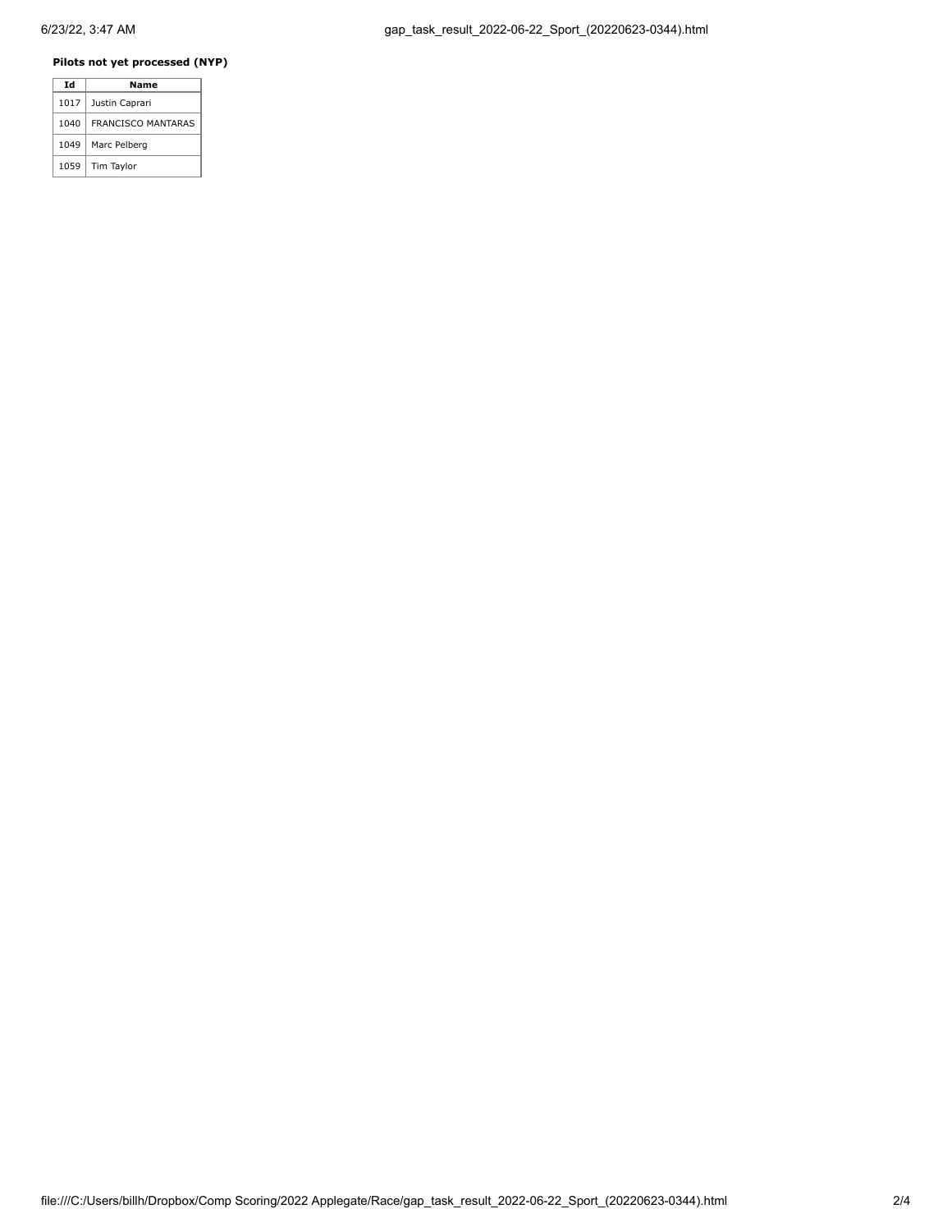## **Pilots not yet processed (NYP)**

| Id   | Name                      |
|------|---------------------------|
| 1017 | Justin Caprari            |
| 1040 | <b>FRANCISCO MANTARAS</b> |
| 1049 | Marc Pelberg              |
| 1059 | Tim Taylor                |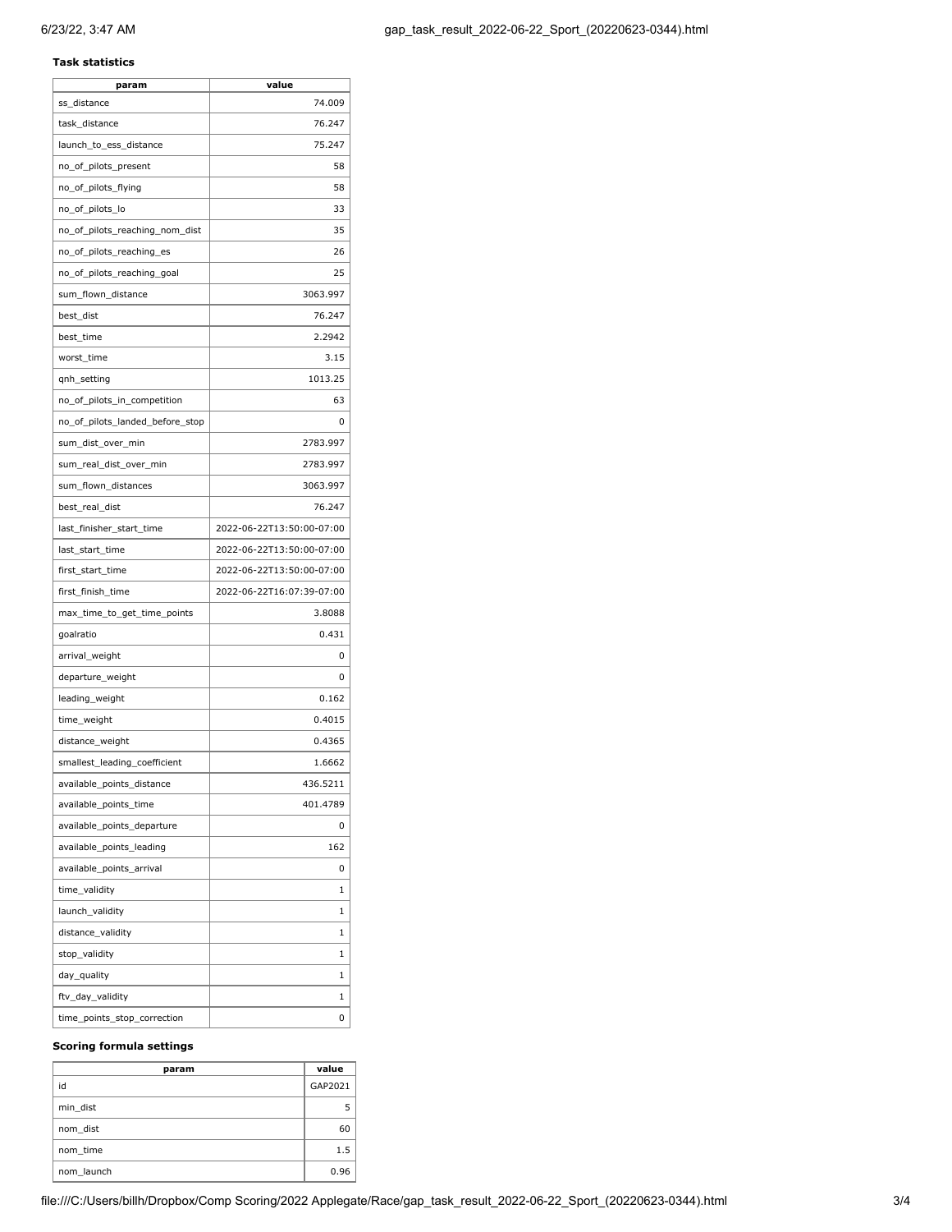### **Task statistics**

| param                           | value                     |
|---------------------------------|---------------------------|
| ss_distance                     | 74.009                    |
| task_distance                   | 76.247                    |
| launch_to_ess_distance          | 75.247                    |
| no_of_pilots_present            | 58                        |
| no_of_pilots_flying             | 58                        |
| no_of_pilots_lo                 | 33                        |
| no_of_pilots_reaching_nom_dist  | 35                        |
| no_of_pilots_reaching_es        | 26                        |
| no_of_pilots_reaching_goal      | 25                        |
| sum_flown_distance              | 3063.997                  |
| best_dist                       | 76.247                    |
| best_time                       | 2.2942                    |
| worst_time                      | 3.15                      |
| qnh_setting                     | 1013.25                   |
| no_of_pilots_in_competition     | 63                        |
| no_of_pilots_landed_before_stop | 0                         |
| sum_dist_over_min               | 2783.997                  |
| sum_real_dist_over_min          | 2783.997                  |
| sum_flown_distances             | 3063.997                  |
| best_real_dist                  | 76.247                    |
| last_finisher_start_time        | 2022-06-22T13:50:00-07:00 |
| last_start_time                 | 2022-06-22T13:50:00-07:00 |
| first_start_time                | 2022-06-22T13:50:00-07:00 |
| first_finish_time               | 2022-06-22T16:07:39-07:00 |
| max_time_to_get_time_points     | 3.8088                    |
| goalratio                       | 0.431                     |
| arrival_weight                  | 0                         |
| departure_weight                | 0                         |
| leading_weight                  | 0.162                     |
| time_weight                     | 0.4015                    |
| distance_weight                 | 0.4365                    |
| smallest_leading_coefficient    | 1.6662                    |
| available_points_distance       | 436.5211                  |
| available_points_time           | 401.4789                  |
| available_points_departure      | 0                         |
| available_points_leading        | 162                       |
| available_points_arrival        | 0                         |
| time_validity                   | 1                         |
| launch_validity                 | 1                         |
| distance_validity               | 1                         |
| stop_validity                   | 1                         |
| day_quality                     | 1                         |
| ftv_day_validity                | 1                         |
| time_points_stop_correction     | 0                         |

#### **Scoring formula settings**

| param      | value   |
|------------|---------|
| id         | GAP2021 |
| min dist   | 5       |
| nom dist   | 60      |
| nom time   | 1.5     |
| nom launch | 0.96    |